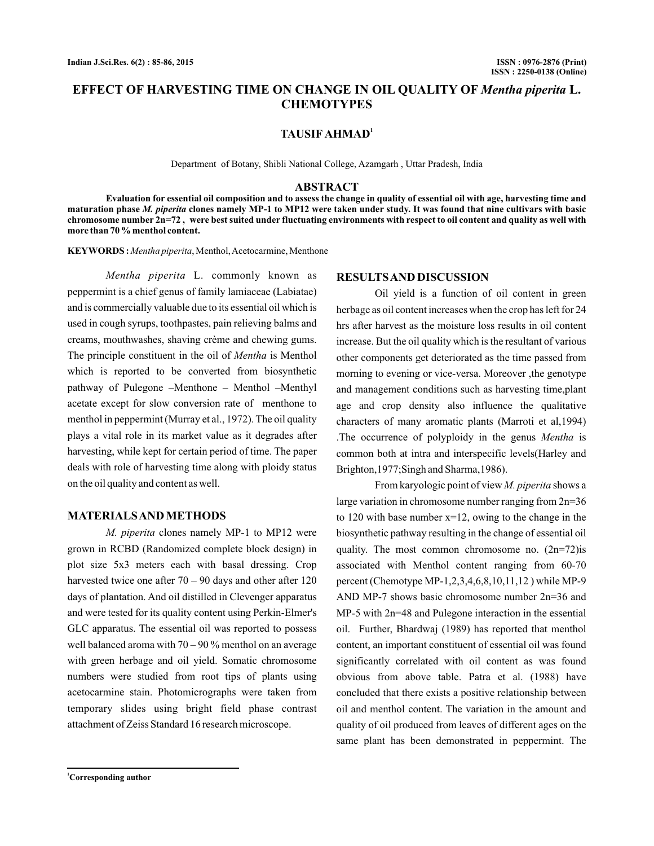# **EFFECT OF HARVESTING TIME ON CHANGE IN OIL QUALITY OF Mentha piperita L. CHEMOTYPES**

### **TAUSIF AHMAD<sup>1</sup>**

Department of Botany, Shibli National College, Azamgarh , Uttar Pradesh, India

### **ABSTRACT**

**Evaluation for essential oil composition and to assess the change in quality of essential oil with age, harvesting time and** maturation phase *M. piperita* clones namely MP-1 to MP12 were taken under study. It was found that nine cultivars with basic **chromosome number 2n=72 , were best suited under fluctuating environments with respect to oil content and quality as well with more than 70 % menthol content.**

**KEYWORDS :** *Mentha piperita*, Menthol,Acetocarmine, Menthone

Mentha piperita L. commonly known as peppermint is a chief genus of family lamiaceae (Labiatae) and is commercially valuable due to its essential oil which is used in cough syrups, toothpastes, pain relieving balms and creams, mouthwashes, shaving crème and chewing gums. The principle constituent in the oil of Mentha is Menthol which is reported to be converted from biosynthetic pathway of Pulegone –Menthone – Menthol –Menthyl acetate except for slow conversion rate of menthone to menthol in peppermint (Murray et al., 1972). The oil quality plays a vital role in its market value as it degrades after harvesting, while kept for certain period of time. The paper deals with role of harvesting time along with ploidy status on the oil quality and content as well.

## **MATERIALSAND METHODS**

M. *piperita* clones namely MP-1 to MP12 were grown in RCBD (Randomized complete block design) in plot size 5x3 meters each with basal dressing. Crop harvested twice one after 70 – 90 days and other after 120 days of plantation. And oil distilled in Clevenger apparatus and were tested for its quality content using Perkin-Elmer's GLC apparatus. The essential oil was reported to possess well balanced aroma with  $70 - 90$  % menthol on an average with green herbage and oil yield. Somatic chromosome numbers were studied from root tips of plants using acetocarmine stain. Photomicrographs were taken from temporary slides using bright field phase contrast attachment of Zeiss Standard 16 research microscope.

#### **RESULTSAND DISCUSSION**

Oil yield is a function of oil content in green herbage as oil content increases when the crop has left for 24 hrs after harvest as the moisture loss results in oil content increase. But the oil quality which is the resultant of various other components get deteriorated as the time passed from morning to evening or vice-versa. Moreover ,the genotype and management conditions such as harvesting time,plant age and crop density also influence the qualitative characters of many aromatic plants (Marroti et al,1994) The occurrence of polyploidy in the genus Mentha is common both at intra and interspecific levels(Harley and Brighton,1977;Singh and Sharma,1986).

From karyologic point of view *M. piperita* shows a large variation in chromosome number ranging from 2n=36 to 120 with base number  $x=12$ , owing to the change in the biosynthetic pathway resulting in the change of essential oil quality. The most common chromosome no.  $(2n=72)$ is associated with Menthol content ranging from 60-70 percent (Chemotype MP-1,2,3,4,6,8,10,11,12 ) while MP-9 AND MP-7 shows basic chromosome number 2n=36 and MP-5 with 2n=48 and Pulegone interaction in the essential oil. Further, Bhardwaj (1989) has reported that menthol content, an important constituent of essential oil was found significantly correlated with oil content as was found obvious from above table. Patra et al. (1988) have concluded that there exists a positive relationship between oil and menthol content. The variation in the amount and quality of oil produced from leaves of different ages on the same plant has been demonstrated in peppermint. The